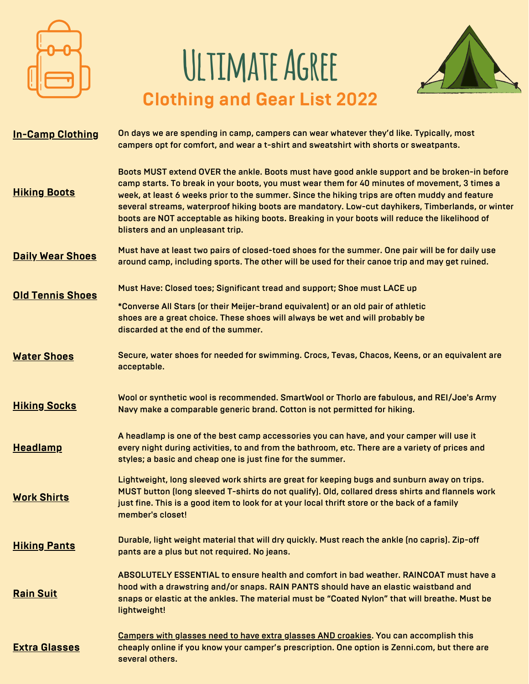

# **Ultimate Agree Clothing and Gear List 2022**



| <b>In-Camp Clothing</b> | On days we are spending in camp, campers can wear whatever they'd like. Typically, most<br>campers opt for comfort, and wear a t-shirt and sweatshirt with shorts or sweatpants.                                                                                                                                                                                                                                                                                                                                                           |
|-------------------------|--------------------------------------------------------------------------------------------------------------------------------------------------------------------------------------------------------------------------------------------------------------------------------------------------------------------------------------------------------------------------------------------------------------------------------------------------------------------------------------------------------------------------------------------|
| <b>Hiking Boots</b>     | Boots MUST extend OVER the ankle. Boots must have good ankle support and be broken-in before<br>camp starts. To break in your boots, you must wear them for 40 minutes of movement, 3 times a<br>week, at least 6 weeks prior to the summer. Since the hiking trips are often muddy and feature<br>several streams, waterproof hiking boots are mandatory. Low-cut dayhikers, Timberlands, or winter<br>boots are NOT acceptable as hiking boots. Breaking in your boots will reduce the likelihood of<br>blisters and an unpleasant trip. |
| <b>Daily Wear Shoes</b> | Must have at least two pairs of closed-toed shoes for the summer. One pair will be for daily use<br>around camp, including sports. The other will be used for their canoe trip and may get ruined.                                                                                                                                                                                                                                                                                                                                         |
| <b>Old Tennis Shoes</b> | Must Have: Closed toes; Significant tread and support; Shoe must LACE up<br>*Converse All Stars (or their Meijer-brand equivalent) or an old pair of athletic<br>shoes are a great choice. These shoes will always be wet and will probably be                                                                                                                                                                                                                                                                                             |
|                         | discarded at the end of the summer.                                                                                                                                                                                                                                                                                                                                                                                                                                                                                                        |
| <b>Water Shoes</b>      | Secure, water shoes for needed for swimming. Crocs, Tevas, Chacos, Keens, or an equivalent are<br>acceptable.                                                                                                                                                                                                                                                                                                                                                                                                                              |
| <b>Hiking Socks</b>     | Wool or synthetic wool is recommended. SmartWool or Thorlo are fabulous, and REI/Joe's Army<br>Navy make a comparable generic brand. Cotton is not permitted for hiking.                                                                                                                                                                                                                                                                                                                                                                   |
| <b>Headlamp</b>         | A headlamp is one of the best camp accessories you can have, and your camper will use it<br>every night during activities, to and from the bathroom, etc. There are a variety of prices and<br>styles; a basic and cheap one is just fine for the summer.                                                                                                                                                                                                                                                                                  |
| <b>Work Shirts</b>      | Lightweight, long sleeved work shirts are great for keeping bugs and sunburn away on trips.<br>MUST button (long sleeved T-shirts do not qualify). Old, collared dress shirts and flannels work<br>just fine. This is a good item to look for at your local thrift store or the back of a family<br>member's closet!                                                                                                                                                                                                                       |
| <b>Hiking Pants</b>     | Durable, light weight material that will dry quickly. Must reach the ankle (no capris). Zip-off<br>pants are a plus but not required. No jeans.                                                                                                                                                                                                                                                                                                                                                                                            |
| <b>Rain Suit</b>        | ABSOLUTELY ESSENTIAL to ensure health and comfort in bad weather. RAINCOAT must have a<br>hood with a drawstring and/or snaps. RAIN PANTS should have an elastic waistband and<br>snaps or elastic at the ankles. The material must be "Coated Nylon" that will breathe. Must be<br>lightweight!                                                                                                                                                                                                                                           |
| <b>Extra Glasses</b>    | <b>Campers with glasses need to have extra glasses AND croakies. You can accomplish this</b><br>cheaply online if you know your camper's prescription. One option is Zenni.com, but there are<br>several others.                                                                                                                                                                                                                                                                                                                           |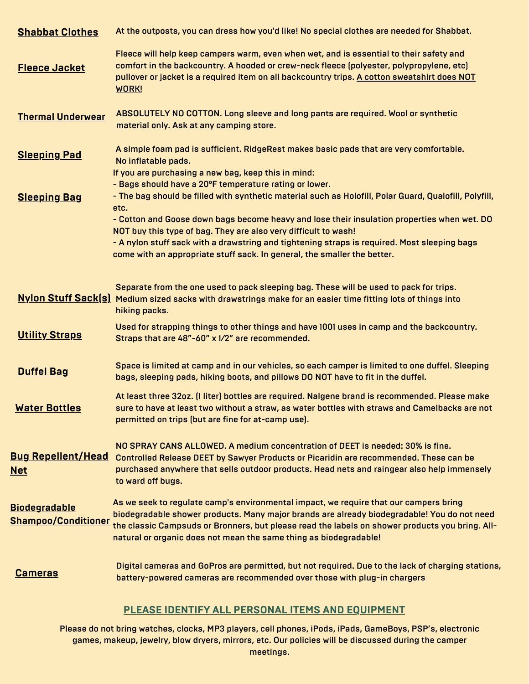| <b>Shabbat Clothes</b>                             | At the outposts, you can dress how you'd like! No special clothes are needed for Shabbat.                                                                                                                                                                                                                                                                                                         |
|----------------------------------------------------|---------------------------------------------------------------------------------------------------------------------------------------------------------------------------------------------------------------------------------------------------------------------------------------------------------------------------------------------------------------------------------------------------|
| <b>Fleece Jacket</b>                               | Fleece will help keep campers warm, even when wet, and is essential to their safety and<br>comfort in the backcountry. A hooded or crew-neck fleece (polyester, polypropylene, etc)<br>pullover or jacket is a required item on all backcountry trips. A cotton sweatshirt does NOT<br><b>WORK!</b>                                                                                               |
| <b>Thermal Underwear</b>                           | ABSOLUTELY NO COTTON. Long sleeve and long pants are required. Wool or synthetic<br>material only. Ask at any camping store.                                                                                                                                                                                                                                                                      |
| <b>Sleeping Pad</b>                                | A simple foam pad is sufficient. RidgeRest makes basic pads that are very comfortable.<br>No inflatable pads.                                                                                                                                                                                                                                                                                     |
| <b>Sleeping Bag</b>                                | If you are purchasing a new bag, keep this in mind:<br>- Bags should have a 20°F temperature rating or lower.<br>- The bag should be filled with synthetic material such as Holofill, Polar Guard, Qualofill, Polyfill,<br>etc.<br>- Cotton and Goose down bags become heavy and lose their insulation properties when wet. DO<br>NOT buy this type of bag. They are also very difficult to wash! |
|                                                    | - A nylon stuff sack with a drawstring and tightening straps is required. Most sleeping bags<br>come with an appropriate stuff sack. In general, the smaller the better.                                                                                                                                                                                                                          |
| <b>Nylon Stuff Sack(s)</b>                         | Separate from the one used to pack sleeping bag. These will be used to pack for trips.<br>Medium sized sacks with drawstrings make for an easier time fitting lots of things into<br>hiking packs.                                                                                                                                                                                                |
| <b>Utility Straps</b>                              | Used for strapping things to other things and have 1001 uses in camp and the backcountry.<br>Straps that are 48"-60" x 1/2" are recommended.                                                                                                                                                                                                                                                      |
| <b>Duffel Bag</b>                                  | Space is limited at camp and in our vehicles, so each camper is limited to one duffel. Sleeping<br>bags, sleeping pads, hiking boots, and pillows DO NOT have to fit in the duffel.                                                                                                                                                                                                               |
| <b>Water Bottles</b>                               | At least three 32oz. (1 liter) bottles are required. Nalgene brand is recommended. Please make<br>sure to have at least two without a straw, as water bottles with straws and Camelbacks are not<br>permitted on trips (but are fine for at-camp use).                                                                                                                                            |
| <b>Bug Repellent/Head</b><br><u>Net</u>            | NO SPRAY CANS ALLOWED. A medium concentration of DEET is needed: 30% is fine.<br><b>Controlled Release DEET by Sawyer Products or Picaridin are recommended. These can be</b><br>purchased anywhere that sells outdoor products. Head nets and raingear also help immensely<br>to ward off bugs.                                                                                                  |
| <b>Biodegradable</b><br><b>Shampoo/Conditioner</b> | As we seek to regulate camp's environmental impact, we require that our campers bring<br>biodegradable shower products. Many major brands are already biodegradable! You do not need<br>the classic Campsuds or Bronners, but please read the labels on shower products you bring. All-<br>natural or organic does not mean the same thing as biodegradable!                                      |
| <b>Cameras</b>                                     | Digital cameras and GoPros are permitted, but not required. Due to the lack of charging stations,<br>battery-powered cameras are recommended over those with plug-in chargers                                                                                                                                                                                                                     |

## **PLEASE IDENTIFY ALL PERSONAL ITEMS AND EQUIPMENT**

Please do not bring watches, clocks, MP3 players, cell phones, iPods, iPads, GameBoys, PSP's, electronic games, makeup, jewelry, blow dryers, mirrors, etc. Our policies will be discussed during the camper meetings.